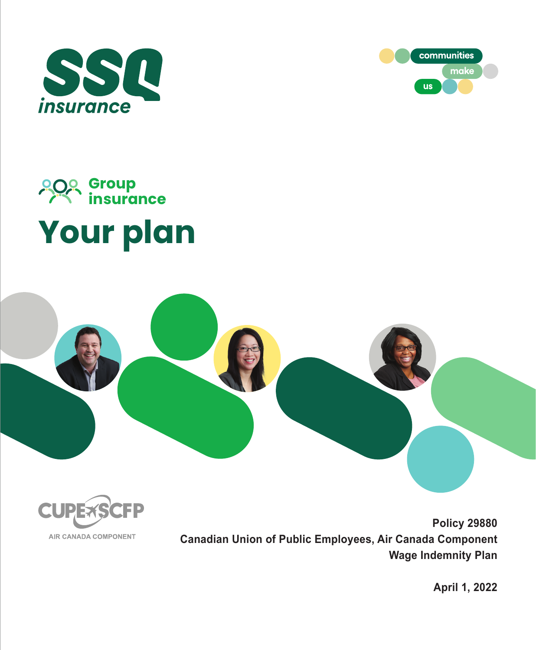



# **Your plan Group insurance**





**Policy 29880 Canadian Union of Public Employees, Air Canada Component Wage Indemnity Plan** 

**April 1, 2022**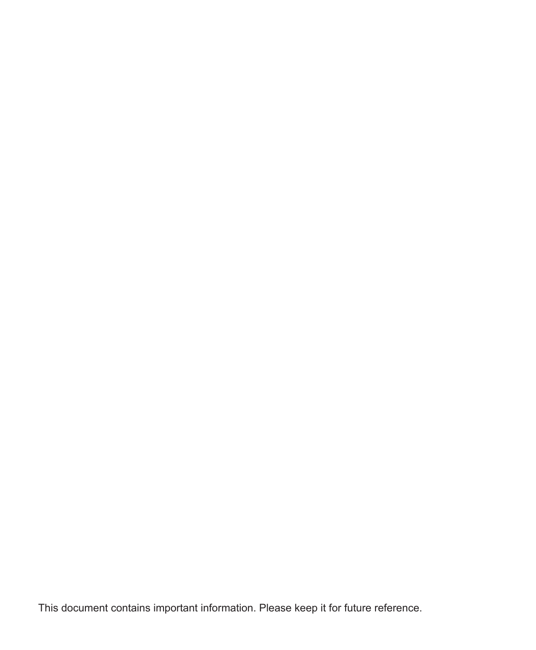This document contains important information. Please keep it for future reference.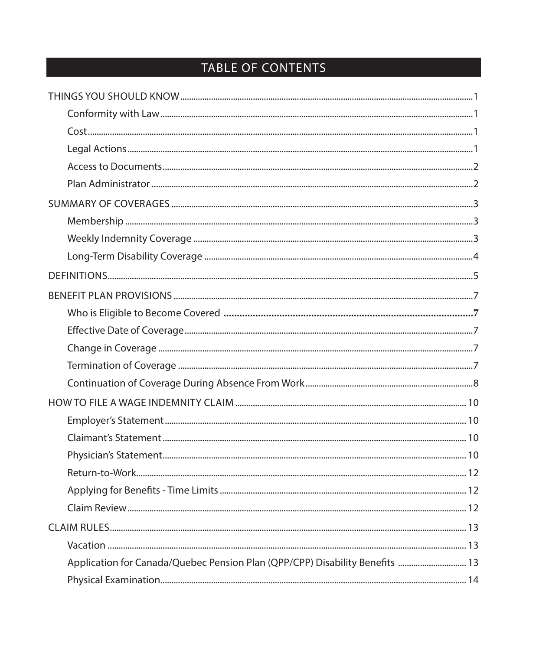# TABLE OF CONTENTS

| Application for Canada/Quebec Pension Plan (QPP/CPP) Disability Benefits  13 |  |
|------------------------------------------------------------------------------|--|
|                                                                              |  |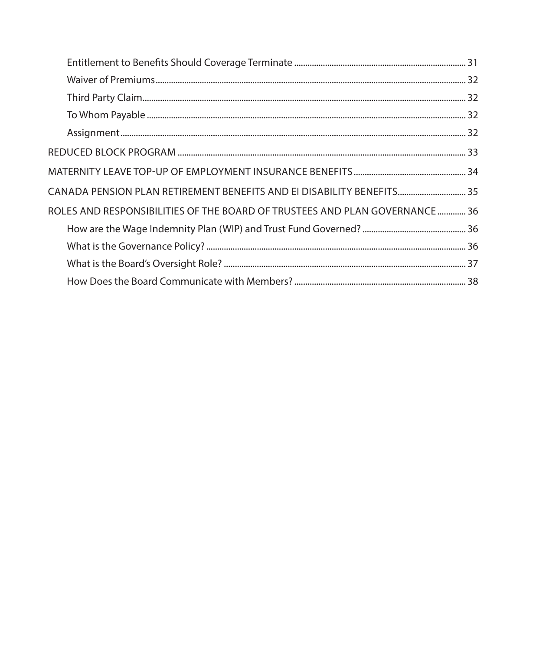| CANADA PENSION PLAN RETIREMENT BENEFITS AND EI DISABILITY BENEFITS 35     |  |
|---------------------------------------------------------------------------|--|
| ROLES AND RESPONSIBILITIES OF THE BOARD OF TRUSTEES AND PLAN GOVERNANCE36 |  |
|                                                                           |  |
|                                                                           |  |
|                                                                           |  |
|                                                                           |  |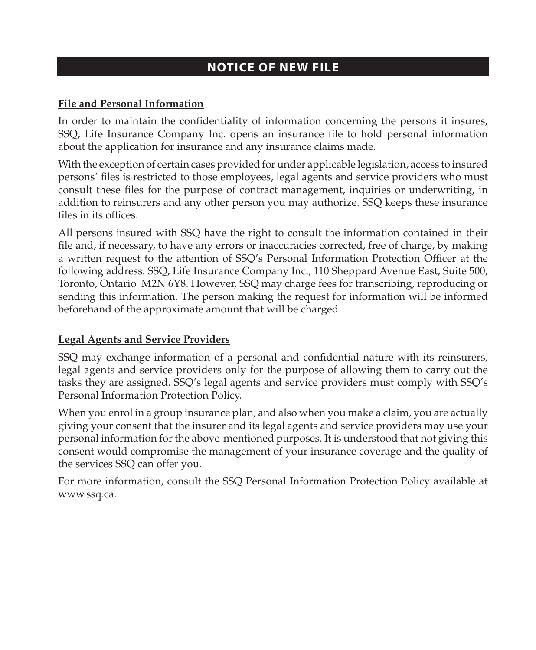# **NOTICE OF NEW FILE**

#### **File and Personal Information**

In order to maintain the confidentiality of information concerning the persons it insures, SSQ, Life Insurance Company Inc. opens an insurance file to hold personal information about the application for insurance and any insurance claims made.

With the exception of certain cases provided for under applicable legislation, access to insured persons' files is restricted to those employees, legal agents and service providers who must consult these files for the purpose of contract management, inquiries or underwriting, in addition to reinsurers and any other person you may authorize. SSQ keeps these insurance files in its offices.

All persons insured with SSQ have the right to consult the information contained in their file and, if necessary, to have any errors or inaccuracies corrected, free of charge, by making a written request to the attention of SSQ's Personal Information Protection Officer at the following address: SSQ, Life Insurance Company Inc., 110 Sheppard Avenue East, Suite 500, Toronto, Ontario M2N 6Y8. However, SSQ may charge fees for transcribing, reproducing or sending this information. The person making the request for information will be informed beforehand of the approximate amount that will be charged.

#### **Legal Agents and Service Providers**

SSQ may exchange information of a personal and confidential nature with its reinsurers, legal agents and service providers only for the purpose of allowing them to carry out the tasks they are assigned. SSQ's legal agents and service providers must comply with SSQ's Personal Information Protection Policy.

When you enrol in a group insurance plan, and also when you make a claim, you are actually giving your consent that the insurer and its legal agents and service providers may use your personal information for the above-mentioned purposes. It is understood that not giving this consent would compromise the management of your insurance coverage and the quality of the services SSQ can offer you.

For more information, consult the SSQ Personal Information Protection Policy available at www.ssq.ca.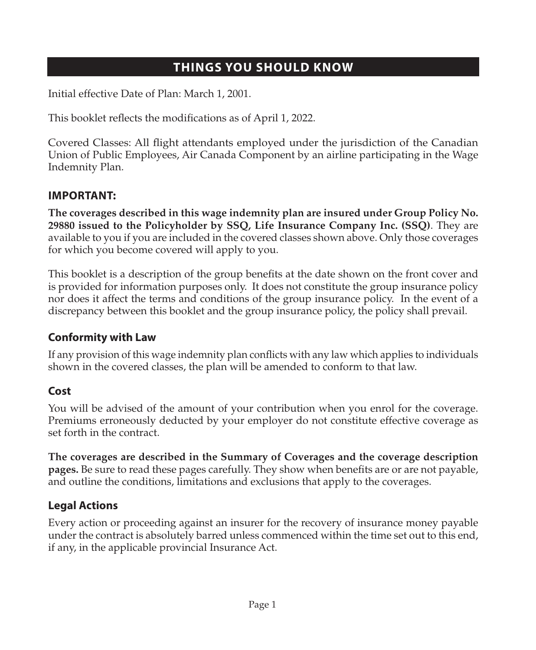# **THINGS YOU SHOULD KNOW**

<span id="page-6-0"></span>Initial effective Date of Plan: March 1, 2001.

This booklet reflects the modifications as of April 1, 2022.

Covered Classes: All flight attendants employed under the jurisdiction of the Canadian Union of Public Employees, Air Canada Component by an airline participating in the Wage Indemnity Plan.

### **IMPORTANT:**

**The coverages described in this wage indemnity plan are insured under Group Policy No. 29880 issued to the Policyholder by SSQ, Life Insurance Company Inc. (SSQ)**. They are available to you if you are included in the covered classes shown above. Only those coverages for which you become covered will apply to you.

This booklet is a description of the group benefits at the date shown on the front cover and is provided for information purposes only. It does not constitute the group insurance policy nor does it affect the terms and conditions of the group insurance policy. In the event of a discrepancy between this booklet and the group insurance policy, the policy shall prevail.

# **Conformity with Law**

If any provision of this wage indemnity plan conflicts with any law which applies to individuals shown in the covered classes, the plan will be amended to conform to that law.

# **Cost**

You will be advised of the amount of your contribution when you enrol for the coverage. Premiums erroneously deducted by your employer do not constitute effective coverage as set forth in the contract.

**The coverages are described in the Summary of Coverages and the coverage description pages.** Be sure to read these pages carefully. They show when benefits are or are not payable, and outline the conditions, limitations and exclusions that apply to the coverages.

# **Legal Actions**

Every action or proceeding against an insurer for the recovery of insurance money payable under the contract is absolutely barred unless commenced within the time set out to this end, if any, in the applicable provincial Insurance Act.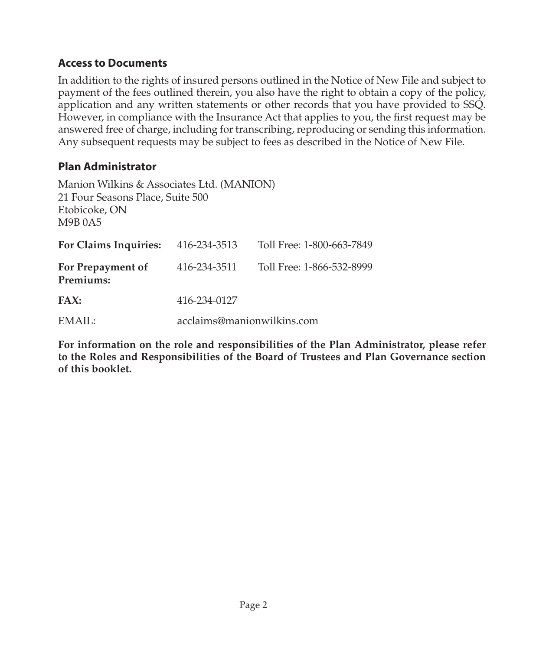#### <span id="page-7-0"></span>**Access to Documents**

In addition to the rights of insured persons outlined in the Notice of New File and subject to payment of the fees outlined therein, you also have the right to obtain a copy of the policy, application and any written statements or other records that you have provided to SSQ. However, in compliance with the Insurance Act that applies to you, the first request may be answered free of charge, including for transcribing, reproducing or sending this information. Any subsequent requests may be subject to fees as described in the Notice of New File.

### **Plan Administrator**

| Manion Wilkins & Associates Ltd. (MANION)<br>21 Four Seasons Place, Suite 500<br>Etobicoke, ON<br>M9B 0A5 |              |                            |
|-----------------------------------------------------------------------------------------------------------|--------------|----------------------------|
| For Claims Inquiries:                                                                                     | 416-234-3513 | Toll Free: 1-800-663-7849  |
| For Prepayment of<br>Premiums:                                                                            | 416-234-3511 | Toll Free: 1-866-532-8999  |
| FAX:                                                                                                      | 416-234-0127 |                            |
| EMAIL:                                                                                                    |              | acclaims@manionwilkins.com |

**For information on the role and responsibilities of the Plan Administrator, please refer to the Roles and Responsibilities of the Board of Trustees and Plan Governance section of this booklet.**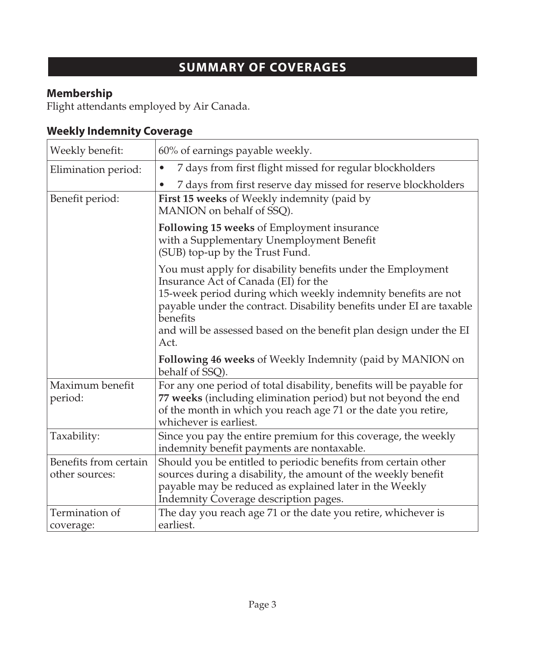# **SUMMARY OF COVERAGES**

# <span id="page-8-0"></span>**Membership**

Flight attendants employed by Air Canada.

# **Weekly Indemnity Coverage**

| Weekly benefit:                         | 60% of earnings payable weekly.                                                                                                                                                                                                                                                                                                        |
|-----------------------------------------|----------------------------------------------------------------------------------------------------------------------------------------------------------------------------------------------------------------------------------------------------------------------------------------------------------------------------------------|
| Elimination period:                     | 7 days from first flight missed for regular blockholders<br>$\bullet$                                                                                                                                                                                                                                                                  |
|                                         | 7 days from first reserve day missed for reserve blockholders<br>٠                                                                                                                                                                                                                                                                     |
| Benefit period:                         | First 15 weeks of Weekly indemnity (paid by<br>MANION on behalf of SSQ).                                                                                                                                                                                                                                                               |
|                                         | Following 15 weeks of Employment insurance<br>with a Supplementary Unemployment Benefit<br>(SUB) top-up by the Trust Fund.                                                                                                                                                                                                             |
|                                         | You must apply for disability benefits under the Employment<br>Insurance Act of Canada (EI) for the<br>15-week period during which weekly indemnity benefits are not<br>payable under the contract. Disability benefits under EI are taxable<br>benefits<br>and will be assessed based on the benefit plan design under the EI<br>Act. |
|                                         | Following 46 weeks of Weekly Indemnity (paid by MANION on<br>behalf of SSQ).                                                                                                                                                                                                                                                           |
| Maximum benefit<br>period:              | For any one period of total disability, benefits will be payable for<br>77 weeks (including elimination period) but not beyond the end<br>of the month in which you reach age 71 or the date you retire,<br>whichever is earliest.                                                                                                     |
| Taxability:                             | Since you pay the entire premium for this coverage, the weekly<br>indemnity benefit payments are nontaxable.                                                                                                                                                                                                                           |
| Benefits from certain<br>other sources: | Should you be entitled to periodic benefits from certain other<br>sources during a disability, the amount of the weekly benefit<br>payable may be reduced as explained later in the Weekly<br>Indemnity Coverage description pages.                                                                                                    |
| Termination of<br>coverage:             | The day you reach age 71 or the date you retire, whichever is<br>earliest.                                                                                                                                                                                                                                                             |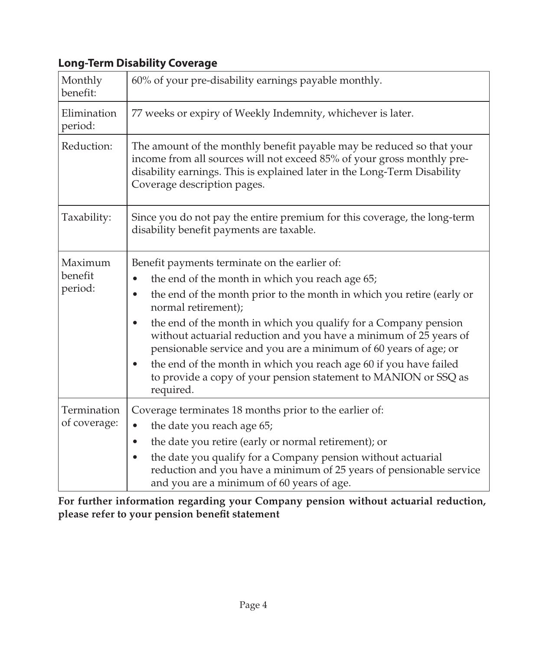# <span id="page-9-0"></span>**Long-Term Disability Coverage**

| Monthly<br>benefit:           | 60% of your pre-disability earnings payable monthly.                                                                                                                                                                                                                                                                                                                                                                                                                                                                                                                                                  |  |
|-------------------------------|-------------------------------------------------------------------------------------------------------------------------------------------------------------------------------------------------------------------------------------------------------------------------------------------------------------------------------------------------------------------------------------------------------------------------------------------------------------------------------------------------------------------------------------------------------------------------------------------------------|--|
| Elimination<br>period:        | 77 weeks or expiry of Weekly Indemnity, whichever is later.                                                                                                                                                                                                                                                                                                                                                                                                                                                                                                                                           |  |
| Reduction:                    | The amount of the monthly benefit payable may be reduced so that your<br>income from all sources will not exceed 85% of your gross monthly pre-<br>disability earnings. This is explained later in the Long-Term Disability<br>Coverage description pages.                                                                                                                                                                                                                                                                                                                                            |  |
| Taxability:                   | Since you do not pay the entire premium for this coverage, the long-term<br>disability benefit payments are taxable.                                                                                                                                                                                                                                                                                                                                                                                                                                                                                  |  |
| Maximum<br>benefit<br>period: | Benefit payments terminate on the earlier of:<br>the end of the month in which you reach age 65;<br>$\bullet$<br>the end of the month prior to the month in which you retire (early or<br>$\bullet$<br>normal retirement);<br>the end of the month in which you qualify for a Company pension<br>٠<br>without actuarial reduction and you have a minimum of 25 years of<br>pensionable service and you are a minimum of 60 years of age; or<br>the end of the month in which you reach age 60 if you have failed<br>٠<br>to provide a copy of your pension statement to MANION or SSQ as<br>required. |  |
| Termination<br>of coverage:   | Coverage terminates 18 months prior to the earlier of:<br>the date you reach age 65;<br>$\bullet$<br>the date you retire (early or normal retirement); or<br>٠<br>the date you qualify for a Company pension without actuarial<br>$\bullet$<br>reduction and you have a minimum of 25 years of pensionable service<br>and you are a minimum of 60 years of age.                                                                                                                                                                                                                                       |  |

**For further information regarding your Company pension without actuarial reduction, please refer to your pension benefit statement**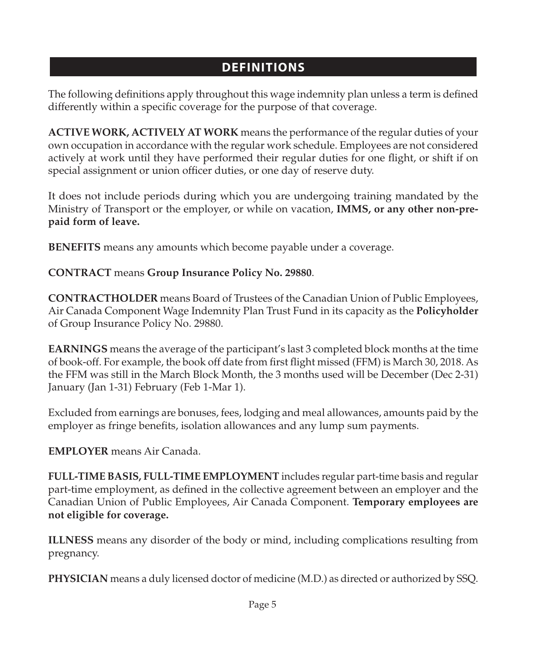# **DEFINITIONS**

<span id="page-10-0"></span>The following definitions apply throughout this wage indemnity plan unless a term is defined differently within a specific coverage for the purpose of that coverage.

**ACTIVE WORK, ACTIVELY AT WORK** means the performance of the regular duties of your own occupation in accordance with the regular work schedule. Employees are not considered actively at work until they have performed their regular duties for one flight, or shift if on special assignment or union officer duties, or one day of reserve duty.

It does not include periods during which you are undergoing training mandated by the Ministry of Transport or the employer, or while on vacation, **IMMS, or any other non-prepaid form of leave.**

**BENEFITS** means any amounts which become payable under a coverage.

# **CONTRACT** means **Group Insurance Policy No. 29880**.

**CONTRACTHOLDER** means Board of Trustees of the Canadian Union of Public Employees, Air Canada Component Wage Indemnity Plan Trust Fund in its capacity as the **Policyholder** of Group Insurance Policy No. 29880.

**EARNINGS** means the average of the participant's last 3 completed block months at the time of book-off. For example, the book off date from first flight missed (FFM) is March 30, 2018. As the FFM was still in the March Block Month, the 3 months used will be December (Dec 2-31) January (Jan 1-31) February (Feb 1-Mar 1).

Excluded from earnings are bonuses, fees, lodging and meal allowances, amounts paid by the employer as fringe benefits, isolation allowances and any lump sum payments.

# **EMPLOYER** means Air Canada.

**FULL-TIME BASIS, FULL-TIME EMPLOYMENT** includes regular part-time basis and regular part-time employment, as defined in the collective agreement between an employer and the Canadian Union of Public Employees, Air Canada Component. **Temporary employees are not eligible for coverage.**

**ILLNESS** means any disorder of the body or mind, including complications resulting from pregnancy.

**PHYSICIAN** means a duly licensed doctor of medicine (M.D.) as directed or authorized by SSQ.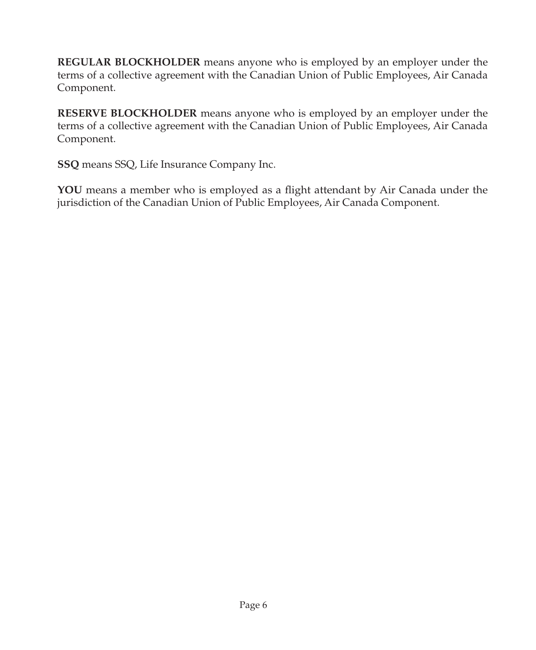**REGULAR BLOCKHOLDER** means anyone who is employed by an employer under the terms of a collective agreement with the Canadian Union of Public Employees, Air Canada Component.

**RESERVE BLOCKHOLDER** means anyone who is employed by an employer under the terms of a collective agreement with the Canadian Union of Public Employees, Air Canada Component.

**SSQ** means SSQ, Life Insurance Company Inc.

**YOU** means a member who is employed as a flight attendant by Air Canada under the jurisdiction of the Canadian Union of Public Employees, Air Canada Component.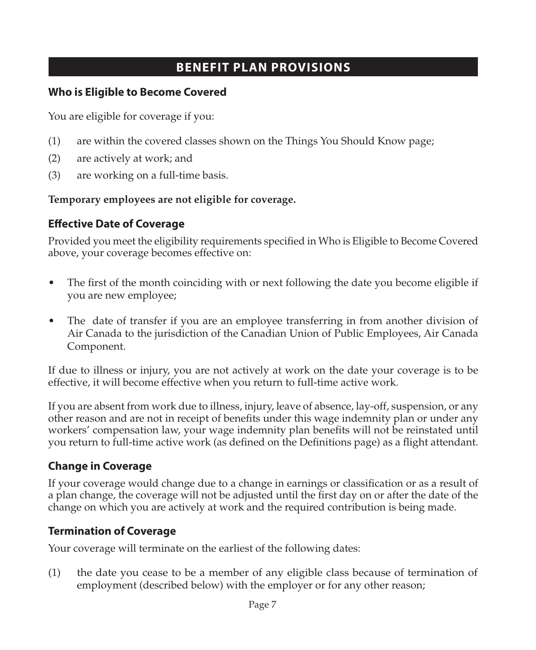# **BENEFIT PLAN PROVISIONS**

### <span id="page-12-0"></span>**Who is Eligible to Become Covered**

You are eligible for coverage if you:

- (1) are within the covered classes shown on the Things You Should Know page;
- (2) are actively at work; and
- (3) are working on a full-time basis.

# **Temporary employees are not eligible for coverage.**

# **Effective Date of Coverage**

Provided you meet the eligibility requirements specified in Who is Eligible to Become Covered above, your coverage becomes effective on:

- The first of the month coinciding with or next following the date you become eligible if you are new employee;
- The date of transfer if you are an employee transferring in from another division of Air Canada to the jurisdiction of the Canadian Union of Public Employees, Air Canada Component.

If due to illness or injury, you are not actively at work on the date your coverage is to be effective, it will become effective when you return to full-time active work.

If you are absent from work due to illness, injury, leave of absence, lay-off, suspension, or any other reason and are not in receipt of benefits under this wage indemnity plan or under any workers' compensation law, your wage indemnity plan benefits will not be reinstated until you return to full-time active work (as defined on the Definitions page) as a flight attendant.

# **Change in Coverage**

If your coverage would change due to a change in earnings or classification or as a result of a plan change, the coverage will not be adjusted until the first day on or after the date of the change on which you are actively at work and the required contribution is being made.

# **Termination of Coverage**

Your coverage will terminate on the earliest of the following dates:

(1) the date you cease to be a member of any eligible class because of termination of employment (described below) with the employer or for any other reason;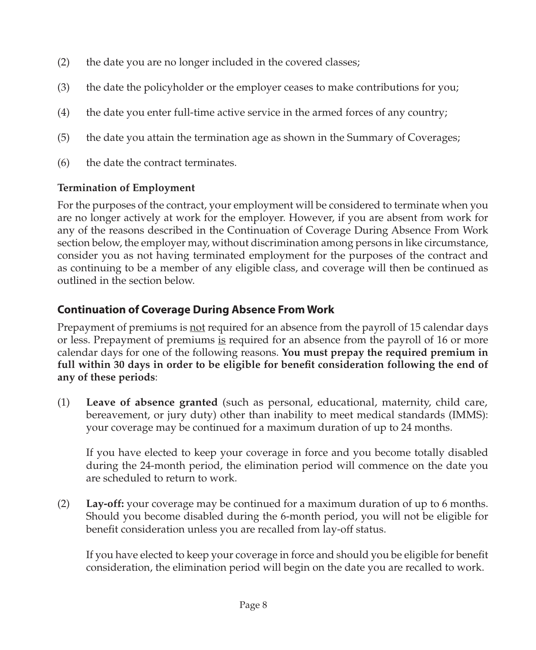- <span id="page-13-0"></span>(2) the date you are no longer included in the covered classes;
- (3) the date the policyholder or the employer ceases to make contributions for you;
- (4) the date you enter full-time active service in the armed forces of any country;
- (5) the date you attain the termination age as shown in the Summary of Coverages;
- (6) the date the contract terminates.

#### **Termination of Employment**

For the purposes of the contract, your employment will be considered to terminate when you are no longer actively at work for the employer. However, if you are absent from work for any of the reasons described in the Continuation of Coverage During Absence From Work section below, the employer may, without discrimination among persons in like circumstance, consider you as not having terminated employment for the purposes of the contract and as continuing to be a member of any eligible class, and coverage will then be continued as outlined in the section below.

# **Continuation of Coverage During Absence From Work**

Prepayment of premiums is not required for an absence from the payroll of 15 calendar days or less. Prepayment of premiums is required for an absence from the payroll of 16 or more calendar days for one of the following reasons. **You must prepay the required premium in full within 30 days in order to be eligible for benefit consideration following the end of any of these periods**:

(1) **Leave of absence granted** (such as personal, educational, maternity, child care, bereavement, or jury duty) other than inability to meet medical standards (IMMS): your coverage may be continued for a maximum duration of up to 24 months.

If you have elected to keep your coverage in force and you become totally disabled during the 24-month period, the elimination period will commence on the date you are scheduled to return to work.

(2) **Lay-off:** your coverage may be continued for a maximum duration of up to 6 months. Should you become disabled during the 6-month period, you will not be eligible for benefit consideration unless you are recalled from lay-off status.

If you have elected to keep your coverage in force and should you be eligible for benefit consideration, the elimination period will begin on the date you are recalled to work.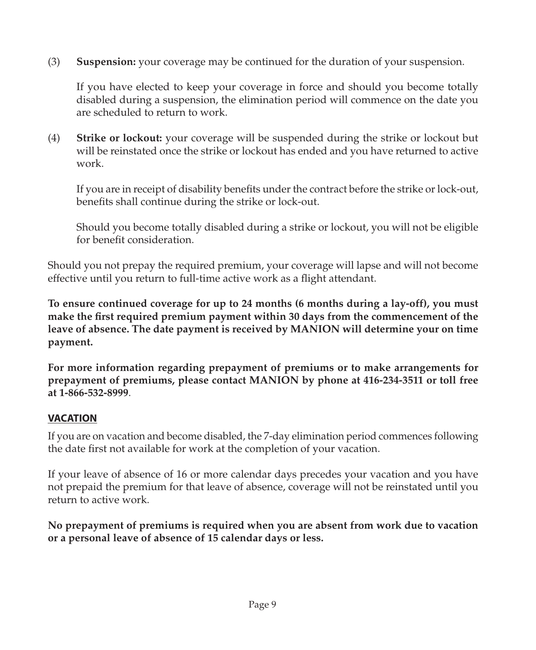(3) **Suspension:** your coverage may be continued for the duration of your suspension.

If you have elected to keep your coverage in force and should you become totally disabled during a suspension, the elimination period will commence on the date you are scheduled to return to work.

(4) **Strike or lockout:** your coverage will be suspended during the strike or lockout but will be reinstated once the strike or lockout has ended and you have returned to active work.

If you are in receipt of disability benefits under the contract before the strike or lock-out, benefits shall continue during the strike or lock-out.

Should you become totally disabled during a strike or lockout, you will not be eligible for benefit consideration.

Should you not prepay the required premium, your coverage will lapse and will not become effective until you return to full-time active work as a flight attendant.

**To ensure continued coverage for up to 24 months (6 months during a lay-off), you must make the first required premium payment within 30 days from the commencement of the leave of absence. The date payment is received by MANION will determine your on time payment.**

**For more information regarding prepayment of premiums or to make arrangements for prepayment of premiums, please contact MANION by phone at 416-234-3511 or toll free at 1-866-532-8999**.

#### **VACATION**

If you are on vacation and become disabled, the 7-day elimination period commences following the date first not available for work at the completion of your vacation.

If your leave of absence of 16 or more calendar days precedes your vacation and you have not prepaid the premium for that leave of absence, coverage will not be reinstated until you return to active work.

**No prepayment of premiums is required when you are absent from work due to vacation or a personal leave of absence of 15 calendar days or less.**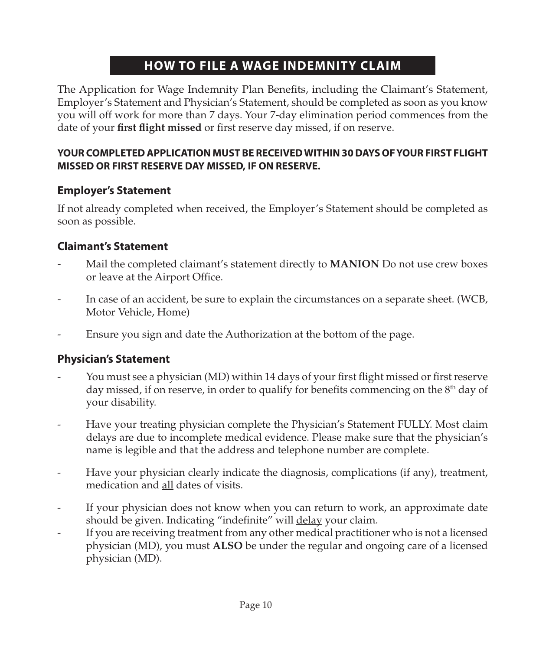# **HOW TO FILE A WAGE INDEMNITY CLAIM**

<span id="page-15-0"></span>The Application for Wage Indemnity Plan Benefits, including the Claimant's Statement, Employer's Statement and Physician's Statement, should be completed as soon as you know you will off work for more than 7 days. Your 7-day elimination period commences from the date of your **first flight missed** or first reserve day missed, if on reserve.

#### **YOUR COMPLETED APPLICATION MUST BE RECEIVED WITHIN 30 DAYS OF YOUR FIRST FLIGHT MISSED OR FIRST RESERVE DAY MISSED, IF ON RESERVE.**

### **Employer's Statement**

If not already completed when received, the Employer's Statement should be completed as soon as possible.

# **Claimant's Statement**

- Mail the completed claimant's statement directly to **MANION** Do not use crew boxes or leave at the Airport Office.
- In case of an accident, be sure to explain the circumstances on a separate sheet. (WCB, Motor Vehicle, Home)
- Ensure you sign and date the Authorization at the bottom of the page.

#### **Physician's Statement**

- You must see a physician (MD) within 14 days of your first flight missed or first reserve day missed, if on reserve, in order to qualify for benefits commencing on the  $8<sup>th</sup>$  day of your disability.
- Have your treating physician complete the Physician's Statement FULLY. Most claim delays are due to incomplete medical evidence. Please make sure that the physician's name is legible and that the address and telephone number are complete.
- Have your physician clearly indicate the diagnosis, complications (if any), treatment, medication and all dates of visits.
- If your physician does not know when you can return to work, an approximate date should be given. Indicating "indefinite" will **delay** your claim.
- If you are receiving treatment from any other medical practitioner who is not a licensed physician (MD), you must **ALSO** be under the regular and ongoing care of a licensed physician (MD).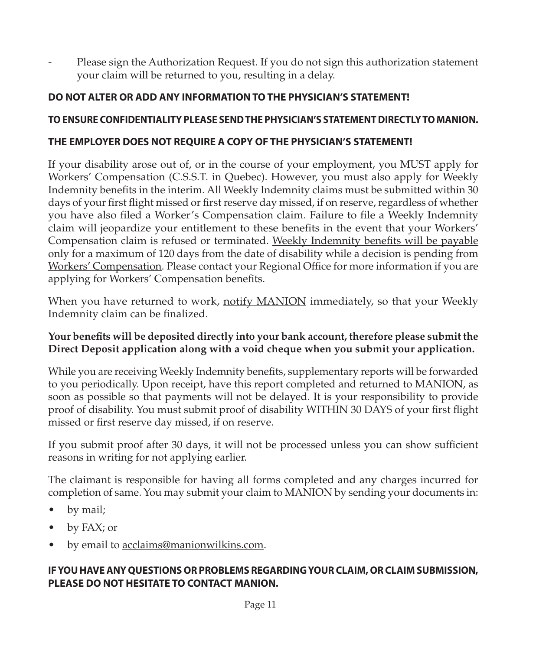Please sign the Authorization Request. If you do not sign this authorization statement your claim will be returned to you, resulting in a delay.

### **DO NOT ALTER OR ADD ANY INFORMATION TO THE PHYSICIAN'S STATEMENT!**

#### **TO ENSURE CONFIDENTIALITY PLEASE SEND THE PHYSICIAN'S STATEMENT DIRECTLY TO MANION.**

#### **THE EMPLOYER DOES NOT REQUIRE A COPY OF THE PHYSICIAN'S STATEMENT!**

If your disability arose out of, or in the course of your employment, you MUST apply for Workers' Compensation (C.S.S.T. in Quebec). However, you must also apply for Weekly Indemnity benefits in the interim. All Weekly Indemnity claims must be submitted within 30 days of your first flight missed or first reserve day missed, if on reserve, regardless of whether you have also filed a Worker's Compensation claim. Failure to file a Weekly Indemnity claim will jeopardize your entitlement to these benefits in the event that your Workers' Compensation claim is refused or terminated. Weekly Indemnity benefits will be payable only for a maximum of 120 days from the date of disability while a decision is pending from Workers' Compensation. Please contact your Regional Office for more information if you are applying for Workers' Compensation benefits.

When you have returned to work, notify MANION immediately, so that your Weekly Indemnity claim can be finalized.

#### **Your benefits will be deposited directly into your bank account, therefore please submit the Direct Deposit application along with a void cheque when you submit your application.**

While you are receiving Weekly Indemnity benefits, supplementary reports will be forwarded to you periodically. Upon receipt, have this report completed and returned to MANION, as soon as possible so that payments will not be delayed. It is your responsibility to provide proof of disability. You must submit proof of disability WITHIN 30 DAYS of your first flight missed or first reserve day missed, if on reserve.

If you submit proof after 30 days, it will not be processed unless you can show sufficient reasons in writing for not applying earlier.

The claimant is responsible for having all forms completed and any charges incurred for completion of same. You may submit your claim to MANION by sending your documents in:

- by mail;
- by FAX; or
- by email to <u>acclaims@manionwilkins.com</u>.

#### **IF YOU HAVE ANY QUESTIONS OR PROBLEMS REGARDING YOUR CLAIM, OR CLAIM SUBMISSION, PLEASE DO NOT HESITATE TO CONTACT MANION.**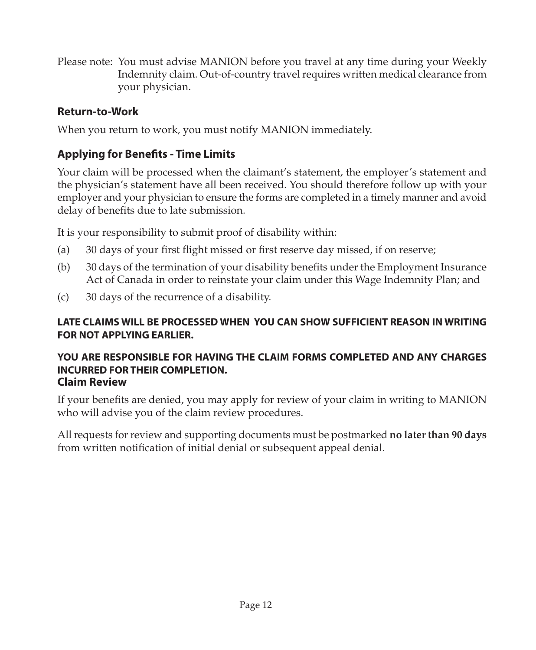<span id="page-17-0"></span>Please note: You must advise MANION before you travel at any time during your Weekly Indemnity claim. Out-of-country travel requires written medical clearance from your physician.

# **Return-to-Work**

When you return to work, you must notify MANION immediately.

# **Applying for Benefits - Time Limits**

Your claim will be processed when the claimant's statement, the employer's statement and the physician's statement have all been received. You should therefore follow up with your employer and your physician to ensure the forms are completed in a timely manner and avoid delay of benefits due to late submission.

It is your responsibility to submit proof of disability within:

- (a) 30 days of your first flight missed or first reserve day missed, if on reserve;
- (b) 30 days of the termination of your disability benefits under the Employment Insurance Act of Canada in order to reinstate your claim under this Wage Indemnity Plan; and
- (c) 30 days of the recurrence of a disability.

#### **LATE CLAIMS WILL BE PROCESSED WHEN YOU CAN SHOW SUFFICIENT REASON IN WRITING FOR NOT APPLYING EARLIER.**

#### **YOU ARE RESPONSIBLE FOR HAVING THE CLAIM FORMS COMPLETED AND ANY CHARGES INCURRED FOR THEIR COMPLETION. Claim Review**

If your benefits are denied, you may apply for review of your claim in writing to MANION who will advise you of the claim review procedures.

All requests for review and supporting documents must be postmarked **no later than 90 days** from written notification of initial denial or subsequent appeal denial.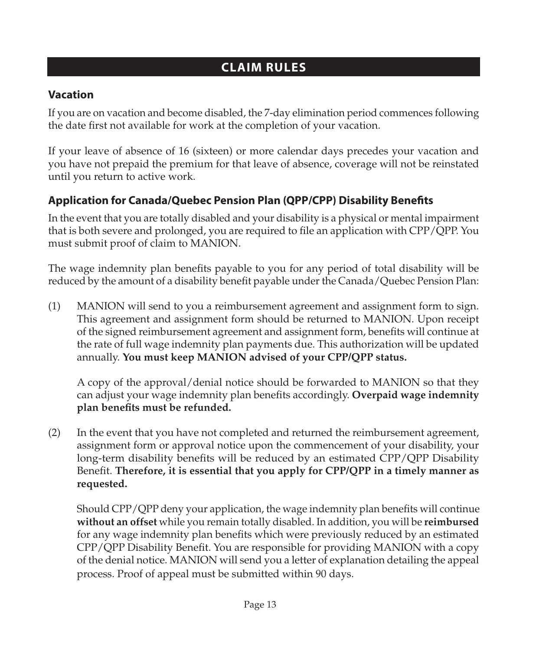# **CLAIM RULES**

# <span id="page-18-0"></span>**Vacation**

If you are on vacation and become disabled, the 7-day elimination period commences following the date first not available for work at the completion of your vacation.

If your leave of absence of 16 (sixteen) or more calendar days precedes your vacation and you have not prepaid the premium for that leave of absence, coverage will not be reinstated until you return to active work.

# **Application for Canada/Quebec Pension Plan (QPP/CPP) Disability Benefits**

In the event that you are totally disabled and your disability is a physical or mental impairment that is both severe and prolonged, you are required to file an application with CPP/QPP. You must submit proof of claim to MANION.

The wage indemnity plan benefits payable to you for any period of total disability will be reduced by the amount of a disability benefit payable under the Canada/Quebec Pension Plan:

(1) MANION will send to you a reimbursement agreement and assignment form to sign. This agreement and assignment form should be returned to MANION. Upon receipt of the signed reimbursement agreement and assignment form, benefits will continue at the rate of full wage indemnity plan payments due. This authorization will be updated annually. **You must keep MANION advised of your CPP/QPP status.**

A copy of the approval/denial notice should be forwarded to MANION so that they can adjust your wage indemnity plan benefits accordingly. **Overpaid wage indemnity plan benefits must be refunded.**

(2) In the event that you have not completed and returned the reimbursement agreement, assignment form or approval notice upon the commencement of your disability, your long-term disability benefits will be reduced by an estimated CPP/QPP Disability Benefit. **Therefore, it is essential that you apply for CPP/QPP in a timely manner as requested.**

Should CPP/QPP deny your application, the wage indemnity plan benefits will continue **without an offset** while you remain totally disabled. In addition, you will be **reimbursed** for any wage indemnity plan benefits which were previously reduced by an estimated CPP/QPP Disability Benefit. You are responsible for providing MANION with a copy of the denial notice. MANION will send you a letter of explanation detailing the appeal process. Proof of appeal must be submitted within 90 days.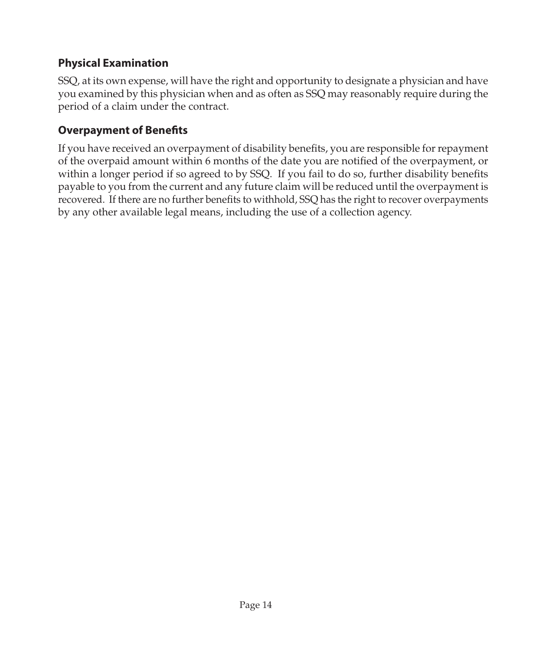# <span id="page-19-0"></span>**Physical Examination**

SSQ, at its own expense, will have the right and opportunity to designate a physician and have you examined by this physician when and as often as SSQ may reasonably require during the period of a claim under the contract.

# **Overpayment of Benefits**

If you have received an overpayment of disability benefits, you are responsible for repayment of the overpaid amount within 6 months of the date you are notified of the overpayment, or within a longer period if so agreed to by SSQ. If you fail to do so, further disability benefits payable to you from the current and any future claim will be reduced until the overpayment is recovered. If there are no further benefits to withhold, SSQ has the right to recover overpayments by any other available legal means, including the use of a collection agency.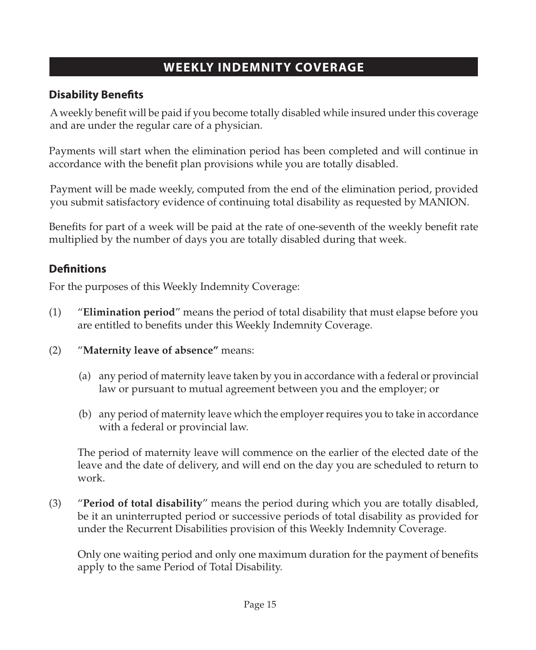# **WEEKLY INDEMNITY COVERAGE**

# <span id="page-20-0"></span>**Disability Benefits**

A weekly benefit will be paid if you become totally disabled while insured under this coverage and are under the regular care of a physician.

Payments will start when the elimination period has been completed and will continue in accordance with the benefit plan provisions while you are totally disabled.

Payment will be made weekly, computed from the end of the elimination period, provided you submit satisfactory evidence of continuing total disability as requested by MANION.

Benefits for part of a week will be paid at the rate of one-seventh of the weekly benefit rate multiplied by the number of days you are totally disabled during that week.

# **Definitions**

For the purposes of this Weekly Indemnity Coverage:

- (1) "**Elimination period**" means the period of total disability that must elapse before you are entitled to benefits under this Weekly Indemnity Coverage.
- (2) "**Maternity leave of absence"** means:
	- (a) any period of maternity leave taken by you in accordance with a federal or provincial law or pursuant to mutual agreement between you and the employer; or
	- (b) any period of maternity leave which the employer requires you to take in accordance with a federal or provincial law.

The period of maternity leave will commence on the earlier of the elected date of the leave and the date of delivery, and will end on the day you are scheduled to return to work.

(3) "**Period of total disability**" means the period during which you are totally disabled, be it an uninterrupted period or successive periods of total disability as provided for under the Recurrent Disabilities provision of this Weekly Indemnity Coverage.

Only one waiting period and only one maximum duration for the payment of benefits apply to the same Period of Total Disability.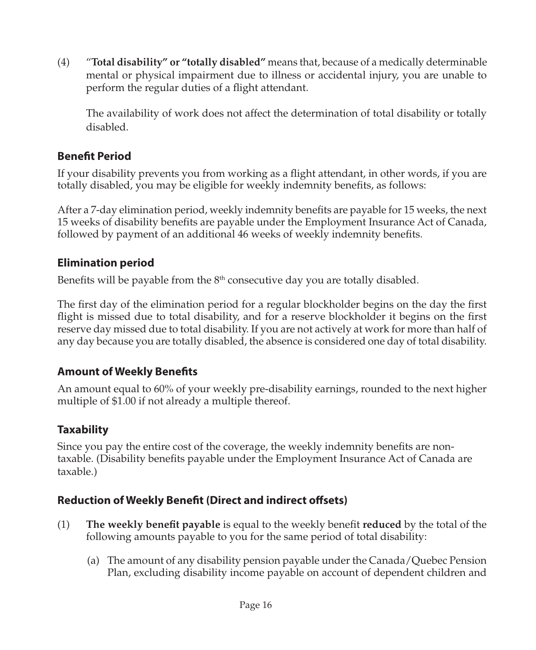<span id="page-21-0"></span>(4) "**Total disability" or "totally disabled"** means that, because of a medically determinable mental or physical impairment due to illness or accidental injury, you are unable to perform the regular duties of a flight attendant.

The availability of work does not affect the determination of total disability or totally disabled.

# **Benefit Period**

If your disability prevents you from working as a flight attendant, in other words, if you are totally disabled, you may be eligible for weekly indemnity benefits, as follows:

After a 7-day elimination period, weekly indemnity benefits are payable for 15 weeks, the next 15 weeks of disability benefits are payable under the Employment Insurance Act of Canada, followed by payment of an additional 46 weeks of weekly indemnity benefits.

# **Elimination period**

Benefits will be payable from the  $8<sup>th</sup>$  consecutive day you are totally disabled.

The first day of the elimination period for a regular blockholder begins on the day the first flight is missed due to total disability, and for a reserve blockholder it begins on the first reserve day missed due to total disability. If you are not actively at work for more than half of any day because you are totally disabled, the absence is considered one day of total disability.

# **Amount of Weekly Benefits**

An amount equal to 60% of your weekly pre-disability earnings, rounded to the next higher multiple of \$1.00 if not already a multiple thereof.

# **Taxability**

Since you pay the entire cost of the coverage, the weekly indemnity benefits are nontaxable. (Disability benefits payable under the Employment Insurance Act of Canada are taxable.)

# **Reduction of Weekly Benefit (Direct and indirect offsets)**

- (1) **The weekly benefit payable** is equal to the weekly benefit **reduced** by the total of the following amounts payable to you for the same period of total disability:
	- (a) The amount of any disability pension payable under the Canada/Quebec Pension Plan, excluding disability income payable on account of dependent children and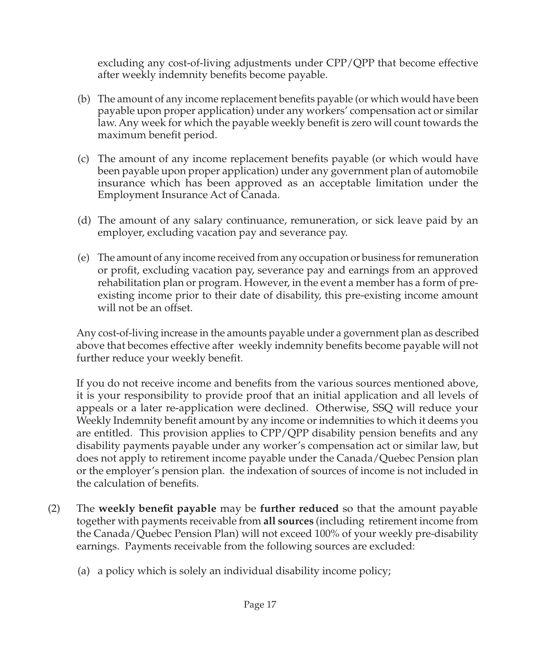excluding any cost-of-living adjustments under CPP/QPP that become effective after weekly indemnity benefits become payable.

- (b) The amount of any income replacement benefits payable (or which would have been payable upon proper application) under any workers' compensation act or similar law. Any week for which the payable weekly benefit is zero will count towards the maximum benefit period.
- (c) The amount of any income replacement benefits payable (or which would have been payable upon proper application) under any government plan of automobile insurance which has been approved as an acceptable limitation under the Employment Insurance Act of Canada.
- (d) The amount of any salary continuance, remuneration, or sick leave paid by an employer, excluding vacation pay and severance pay.
- (e) The amount of any income received from any occupation or business for remuneration or profit, excluding vacation pay, severance pay and earnings from an approved rehabilitation plan or program. However, in the event a member has a form of preexisting income prior to their date of disability, this pre-existing income amount will not be an offset.

Any cost-of-living increase in the amounts payable under a government plan as described above that becomes effective after weekly indemnity benefits become payable will not further reduce your weekly benefit.

If you do not receive income and benefits from the various sources mentioned above, it is your responsibility to provide proof that an initial application and all levels of appeals or a later re-application were declined. Otherwise, SSQ will reduce your Weekly Indemnity benefit amount by any income or indemnities to which it deems you are entitled. This provision applies to CPP/QPP disability pension benefits and any disability payments payable under any worker's compensation act or similar law, but does not apply to retirement income payable under the Canada/Quebec Pension plan or the employer's pension plan. the indexation of sources of income is not included in the calculation of benefits.

- (2) The **weekly benefit payable** may be **further reduced** so that the amount payable together with payments receivable from **all sources** (including retirement income from the Canada/Quebec Pension Plan) will not exceed 100% of your weekly pre-disability earnings. Payments receivable from the following sources are excluded:
	- (a) a policy which is solely an individual disability income policy;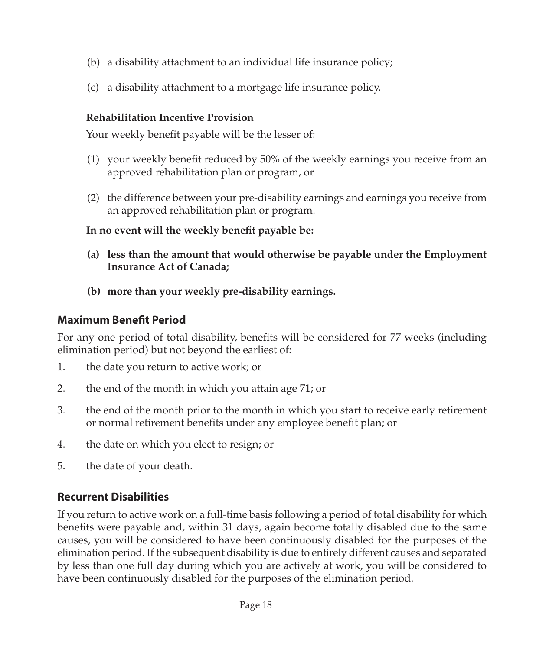- <span id="page-23-0"></span>(b) a disability attachment to an individual life insurance policy;
- (c) a disability attachment to a mortgage life insurance policy.

#### **Rehabilitation Incentive Provision**

Your weekly benefit payable will be the lesser of:

- (1) your weekly benefit reduced by 50% of the weekly earnings you receive from an approved rehabilitation plan or program, or
- (2) the difference between your pre-disability earnings and earnings you receive from an approved rehabilitation plan or program.

**In no event will the weekly benefit payable be:**

- **(a) less than the amount that would otherwise be payable under the Employment Insurance Act of Canada;**
- **(b) more than your weekly pre-disability earnings.**

# **Maximum Benefit Period**

For any one period of total disability, benefits will be considered for 77 weeks (including elimination period) but not beyond the earliest of:

- 1. the date you return to active work; or
- 2. the end of the month in which you attain age 71; or
- 3. the end of the month prior to the month in which you start to receive early retirement or normal retirement benefits under any employee benefit plan; or
- 4. the date on which you elect to resign; or
- 5. the date of your death.

# **Recurrent Disabilities**

If you return to active work on a full-time basis following a period of total disability for which benefits were payable and, within 31 days, again become totally disabled due to the same causes, you will be considered to have been continuously disabled for the purposes of the elimination period. If the subsequent disability is due to entirely different causes and separated by less than one full day during which you are actively at work, you will be considered to have been continuously disabled for the purposes of the elimination period.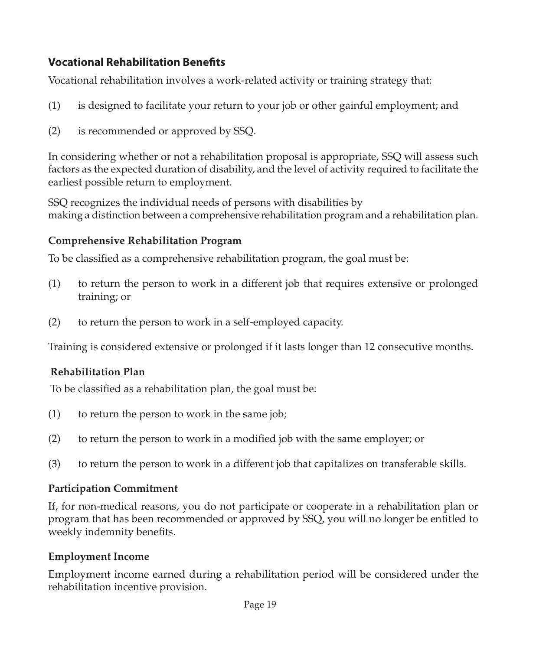# <span id="page-24-0"></span>**Vocational Rehabilitation Benefits**

Vocational rehabilitation involves a work-related activity or training strategy that:

- (1) is designed to facilitate your return to your job or other gainful employment; and
- (2) is recommended or approved by SSQ.

In considering whether or not a rehabilitation proposal is appropriate, SSQ will assess such factors as the expected duration of disability, and the level of activity required to facilitate the earliest possible return to employment.

SSQ recognizes the individual needs of persons with disabilities by making a distinction between a comprehensive rehabilitation program and a rehabilitation plan.

### **Comprehensive Rehabilitation Program**

To be classified as a comprehensive rehabilitation program, the goal must be:

- (1) to return the person to work in a different job that requires extensive or prolonged training; or
- (2) to return the person to work in a self-employed capacity.

Training is considered extensive or prolonged if it lasts longer than 12 consecutive months.

#### **Rehabilitation Plan**

To be classified as a rehabilitation plan, the goal must be:

- (1) to return the person to work in the same job;
- (2) to return the person to work in a modified job with the same employer; or
- (3) to return the person to work in a different job that capitalizes on transferable skills.

#### **Participation Commitment**

If, for non-medical reasons, you do not participate or cooperate in a rehabilitation plan or program that has been recommended or approved by SSQ, you will no longer be entitled to weekly indemnity benefits.

# **Employment Income**

Employment income earned during a rehabilitation period will be considered under the rehabilitation incentive provision.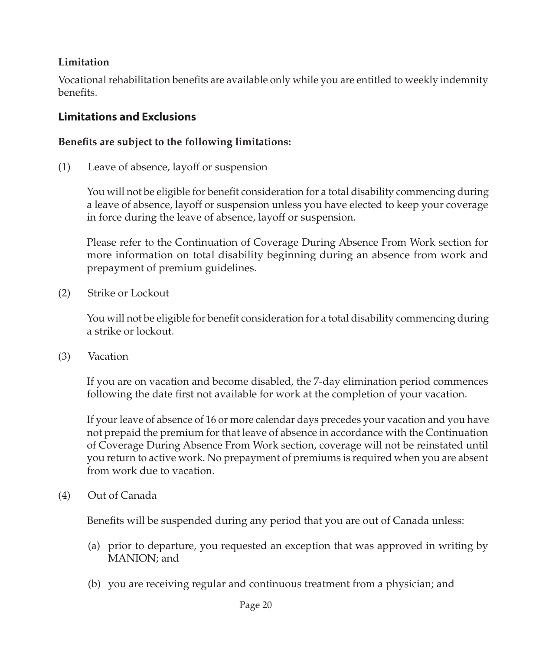#### <span id="page-25-0"></span>**Limitation**

Vocational rehabilitation benefits are available only while you are entitled to weekly indemnity benefits.

### **Limitations and Exclusions**

#### **Benefits are subject to the following limitations:**

(1) Leave of absence, layoff or suspension

You will not be eligible for benefit consideration for a total disability commencing during a leave of absence, layoff or suspension unless you have elected to keep your coverage in force during the leave of absence, layoff or suspension.

Please refer to the Continuation of Coverage During Absence From Work section for more information on total disability beginning during an absence from work and prepayment of premium guidelines.

(2) Strike or Lockout

You will not be eligible for benefit consideration for a total disability commencing during a strike or lockout.

(3) Vacation

If you are on vacation and become disabled, the 7-day elimination period commences following the date first not available for work at the completion of your vacation.

If your leave of absence of 16 or more calendar days precedes your vacation and you have not prepaid the premium for that leave of absence in accordance with the Continuation of Coverage During Absence From Work section, coverage will not be reinstated until you return to active work. No prepayment of premiums is required when you are absent from work due to vacation.

(4) Out of Canada

Benefits will be suspended during any period that you are out of Canada unless:

- (a) prior to departure, you requested an exception that was approved in writing by MANION; and
- (b) you are receiving regular and continuous treatment from a physician; and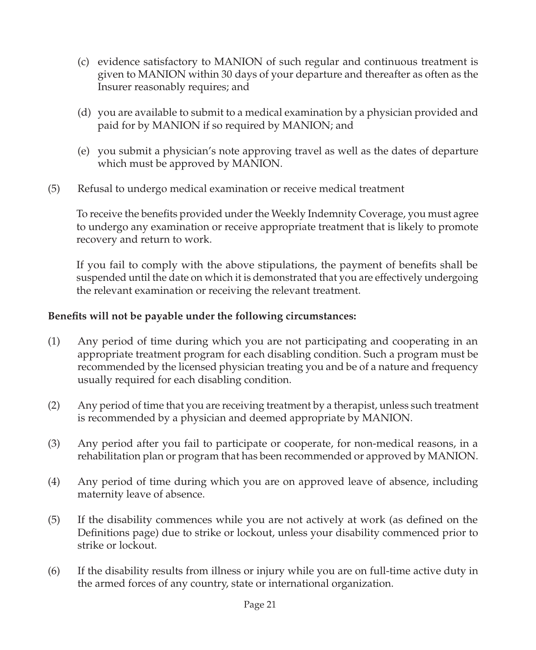- (c) evidence satisfactory to MANION of such regular and continuous treatment is given to MANION within 30 days of your departure and thereafter as often as the Insurer reasonably requires; and
- (d) you are available to submit to a medical examination by a physician provided and paid for by MANION if so required by MANION; and
- (e) you submit a physician's note approving travel as well as the dates of departure which must be approved by MANION.
- (5) Refusal to undergo medical examination or receive medical treatment

To receive the benefits provided under the Weekly Indemnity Coverage, you must agree to undergo any examination or receive appropriate treatment that is likely to promote recovery and return to work.

If you fail to comply with the above stipulations, the payment of benefits shall be suspended until the date on which it is demonstrated that you are effectively undergoing the relevant examination or receiving the relevant treatment.

#### **Benefits will not be payable under the following circumstances:**

- (1) Any period of time during which you are not participating and cooperating in an appropriate treatment program for each disabling condition. Such a program must be recommended by the licensed physician treating you and be of a nature and frequency usually required for each disabling condition.
- (2) Any period of time that you are receiving treatment by a therapist, unless such treatment is recommended by a physician and deemed appropriate by MANION.
- (3) Any period after you fail to participate or cooperate, for non-medical reasons, in a rehabilitation plan or program that has been recommended or approved by MANION.
- (4) Any period of time during which you are on approved leave of absence, including maternity leave of absence.
- (5) If the disability commences while you are not actively at work (as defined on the Definitions page) due to strike or lockout, unless your disability commenced prior to strike or lockout.
- (6) If the disability results from illness or injury while you are on full-time active duty in the armed forces of any country, state or international organization.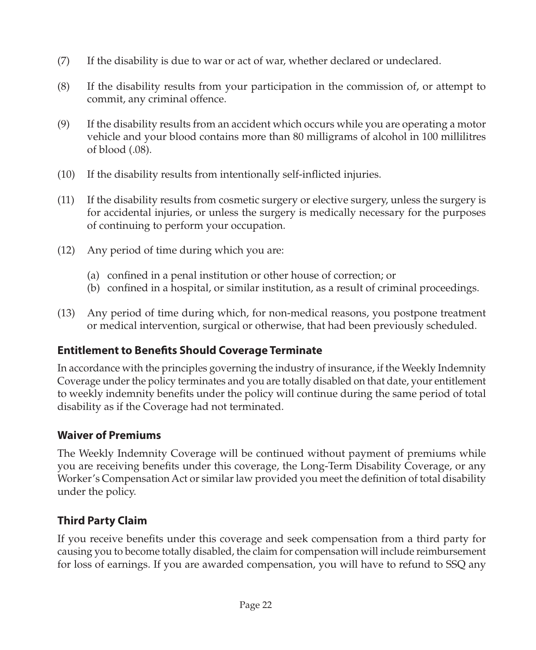- <span id="page-27-0"></span>(7) If the disability is due to war or act of war, whether declared or undeclared.
- (8) If the disability results from your participation in the commission of, or attempt to commit, any criminal offence.
- (9) If the disability results from an accident which occurs while you are operating a motor vehicle and your blood contains more than 80 milligrams of alcohol in 100 millilitres of blood (.08).
- (10) If the disability results from intentionally self-inflicted injuries.
- (11) If the disability results from cosmetic surgery or elective surgery, unless the surgery is for accidental injuries, or unless the surgery is medically necessary for the purposes of continuing to perform your occupation.
- (12) Any period of time during which you are:
	- (a) confined in a penal institution or other house of correction; or
	- (b) confined in a hospital, or similar institution, as a result of criminal proceedings.
- (13) Any period of time during which, for non-medical reasons, you postpone treatment or medical intervention, surgical or otherwise, that had been previously scheduled.

# **Entitlement to Benefits Should Coverage Terminate**

In accordance with the principles governing the industry of insurance, if the Weekly Indemnity Coverage under the policy terminates and you are totally disabled on that date, your entitlement to weekly indemnity benefits under the policy will continue during the same period of total disability as if the Coverage had not terminated.

# **Waiver of Premiums**

The Weekly Indemnity Coverage will be continued without payment of premiums while you are receiving benefits under this coverage, the Long-Term Disability Coverage, or any Worker's Compensation Act or similar law provided you meet the definition of total disability under the policy.

# **Third Party Claim**

If you receive benefits under this coverage and seek compensation from a third party for causing you to become totally disabled, the claim for compensation will include reimbursement for loss of earnings. If you are awarded compensation, you will have to refund to SSQ any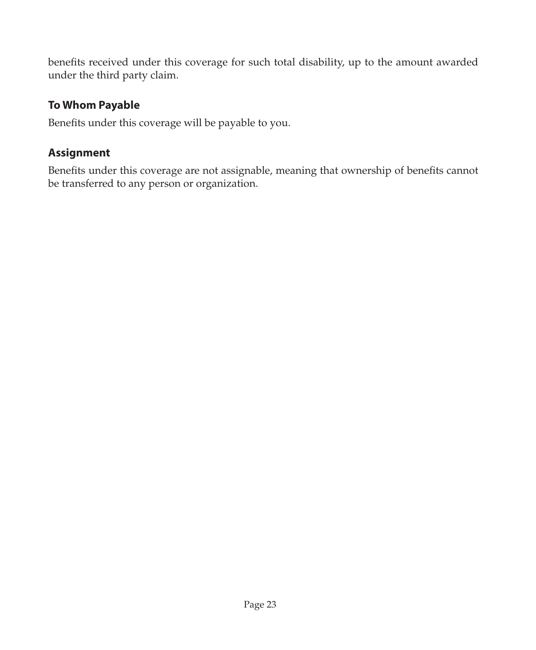<span id="page-28-0"></span>benefits received under this coverage for such total disability, up to the amount awarded under the third party claim.

### **To Whom Payable**

Benefits under this coverage will be payable to you.

# **Assignment**

Benefits under this coverage are not assignable, meaning that ownership of benefits cannot be transferred to any person or organization.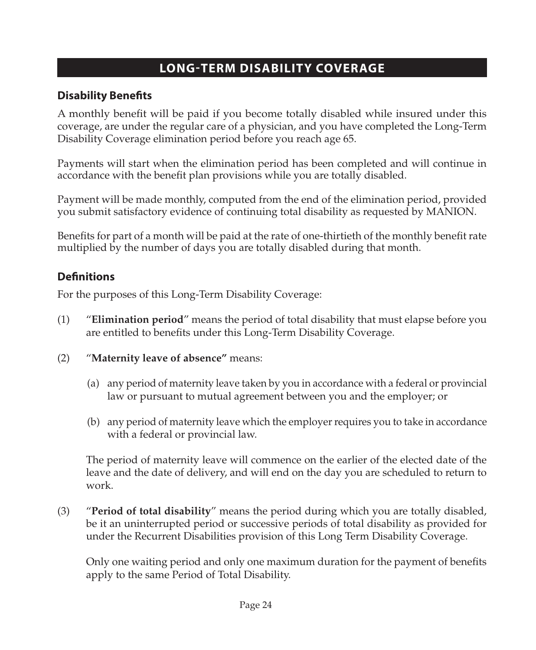# **LONG-TERM DISABILITY COVERAGE**

### <span id="page-29-0"></span>**Disability Benefits**

A monthly benefit will be paid if you become totally disabled while insured under this coverage, are under the regular care of a physician, and you have completed the Long-Term Disability Coverage elimination period before you reach age 65.

Payments will start when the elimination period has been completed and will continue in accordance with the benefit plan provisions while you are totally disabled.

Payment will be made monthly, computed from the end of the elimination period, provided you submit satisfactory evidence of continuing total disability as requested by MANION.

Benefits for part of a month will be paid at the rate of one-thirtieth of the monthly benefit rate multiplied by the number of days you are totally disabled during that month.

### **Definitions**

For the purposes of this Long-Term Disability Coverage:

- (1) "**Elimination period**" means the period of total disability that must elapse before you are entitled to benefits under this Long-Term Disability Coverage.
- (2) "**Maternity leave of absence"** means:
	- (a) any period of maternity leave taken by you in accordance with a federal or provincial law or pursuant to mutual agreement between you and the employer; or
	- (b) any period of maternity leave which the employer requires you to take in accordance with a federal or provincial law.

The period of maternity leave will commence on the earlier of the elected date of the leave and the date of delivery, and will end on the day you are scheduled to return to work.

(3) "**Period of total disability**" means the period during which you are totally disabled, be it an uninterrupted period or successive periods of total disability as provided for under the Recurrent Disabilities provision of this Long Term Disability Coverage.

Only one waiting period and only one maximum duration for the payment of benefits apply to the same Period of Total Disability.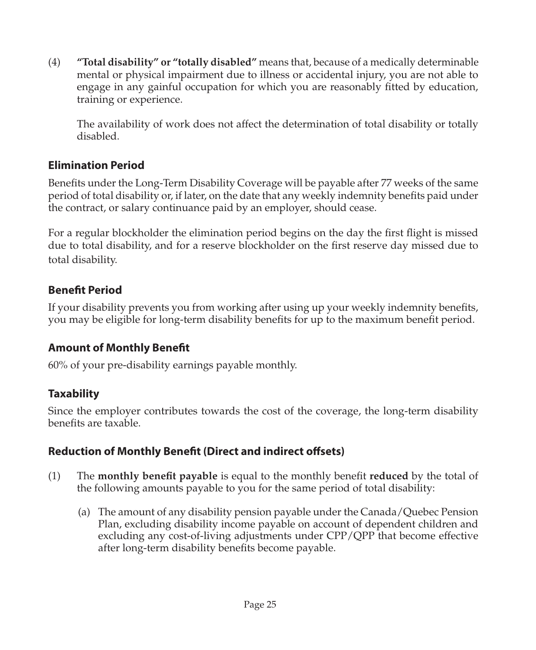<span id="page-30-0"></span>(4) **"Total disability" or "totally disabled"** means that, because of a medically determinable mental or physical impairment due to illness or accidental injury, you are not able to engage in any gainful occupation for which you are reasonably fitted by education, training or experience.

The availability of work does not affect the determination of total disability or totally disabled.

### **Elimination Period**

Benefits under the Long-Term Disability Coverage will be payable after 77 weeks of the same period of total disability or, if later, on the date that any weekly indemnity benefits paid under the contract, or salary continuance paid by an employer, should cease.

For a regular blockholder the elimination period begins on the day the first flight is missed due to total disability, and for a reserve blockholder on the first reserve day missed due to total disability.

# **Benefit Period**

If your disability prevents you from working after using up your weekly indemnity benefits, you may be eligible for long-term disability benefits for up to the maximum benefit period.

# **Amount of Monthly Benefit**

60% of your pre-disability earnings payable monthly.

# **Taxability**

Since the employer contributes towards the cost of the coverage, the long-term disability benefits are taxable.

# **Reduction of Monthly Benefit (Direct and indirect offsets)**

- (1) The **monthly benefit payable** is equal to the monthly benefit **reduced** by the total of the following amounts payable to you for the same period of total disability:
	- (a) The amount of any disability pension payable under the Canada/Quebec Pension Plan, excluding disability income payable on account of dependent children and excluding any cost-of-living adjustments under CPP/QPP that become effective after long-term disability benefits become payable.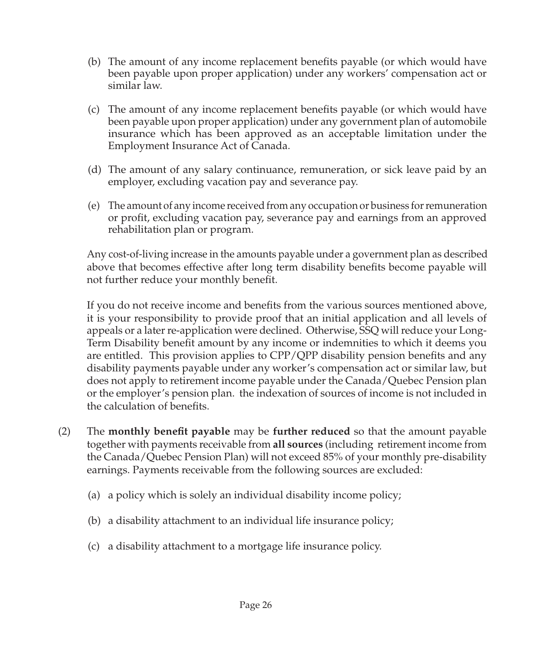- (b) The amount of any income replacement benefits payable (or which would have been payable upon proper application) under any workers' compensation act or similar law.
- (c) The amount of any income replacement benefits payable (or which would have been payable upon proper application) under any government plan of automobile insurance which has been approved as an acceptable limitation under the Employment Insurance Act of Canada.
- (d) The amount of any salary continuance, remuneration, or sick leave paid by an employer, excluding vacation pay and severance pay.
- (e) The amount of any income received from any occupation or business for remuneration or profit, excluding vacation pay, severance pay and earnings from an approved rehabilitation plan or program.

Any cost-of-living increase in the amounts payable under a government plan as described above that becomes effective after long term disability benefits become payable will not further reduce your monthly benefit.

If you do not receive income and benefits from the various sources mentioned above, it is your responsibility to provide proof that an initial application and all levels of appeals or a later re-application were declined. Otherwise, SSQ will reduce your Long-Term Disability benefit amount by any income or indemnities to which it deems you are entitled. This provision applies to CPP/QPP disability pension benefits and any disability payments payable under any worker's compensation act or similar law, but does not apply to retirement income payable under the Canada/Quebec Pension plan or the employer's pension plan. the indexation of sources of income is not included in the calculation of benefits.

- (2) The **monthly benefit payable** may be **further reduced** so that the amount payable together with payments receivable from **all sources** (including retirement income from the Canada/Quebec Pension Plan) will not exceed 85% of your monthly pre-disability earnings. Payments receivable from the following sources are excluded:
	- (a) a policy which is solely an individual disability income policy;
	- (b) a disability attachment to an individual life insurance policy;
	- (c) a disability attachment to a mortgage life insurance policy.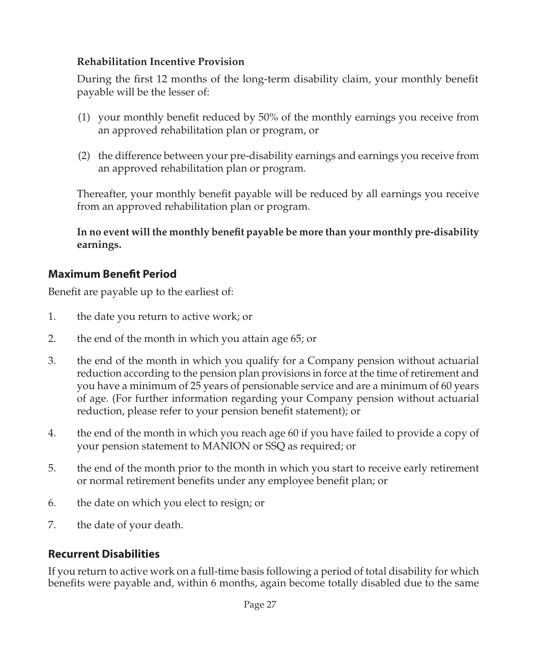#### <span id="page-32-0"></span>**Rehabilitation Incentive Provision**

During the first 12 months of the long-term disability claim, your monthly benefit payable will be the lesser of:

- (1) your monthly benefit reduced by 50% of the monthly earnings you receive from an approved rehabilitation plan or program, or
- (2) the difference between your pre-disability earnings and earnings you receive from an approved rehabilitation plan or program.

Thereafter, your monthly benefit payable will be reduced by all earnings you receive from an approved rehabilitation plan or program.

**In no event will the monthly benefit payable be more than your monthly pre-disability earnings.**

### **Maximum Benefit Period**

Benefit are payable up to the earliest of:

- 1. the date you return to active work; or
- 2. the end of the month in which you attain age 65; or
- 3. the end of the month in which you qualify for a Company pension without actuarial reduction according to the pension plan provisions in force at the time of retirement and you have a minimum of 25 years of pensionable service and are a minimum of 60 years of age. (For further information regarding your Company pension without actuarial reduction, please refer to your pension benefit statement); or
- 4. the end of the month in which you reach age 60 if you have failed to provide a copy of your pension statement to MANION or SSQ as required; or
- 5. the end of the month prior to the month in which you start to receive early retirement or normal retirement benefits under any employee benefit plan; or
- 6. the date on which you elect to resign; or
- 7. the date of your death.

# **Recurrent Disabilities**

If you return to active work on a full-time basis following a period of total disability for which benefits were payable and, within 6 months, again become totally disabled due to the same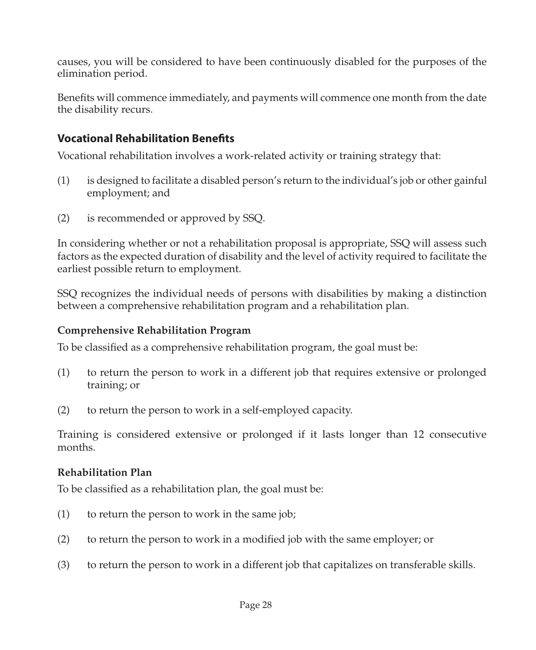<span id="page-33-0"></span>causes, you will be considered to have been continuously disabled for the purposes of the elimination period.

Benefits will commence immediately, and payments will commence one month from the date the disability recurs.

# **Vocational Rehabilitation Benefits**

Vocational rehabilitation involves a work-related activity or training strategy that:

- (1) is designed to facilitate a disabled person's return to the individual's job or other gainful employment; and
- (2) is recommended or approved by SSQ.

In considering whether or not a rehabilitation proposal is appropriate, SSQ will assess such factors as the expected duration of disability and the level of activity required to facilitate the earliest possible return to employment.

SSQ recognizes the individual needs of persons with disabilities by making a distinction between a comprehensive rehabilitation program and a rehabilitation plan.

#### **Comprehensive Rehabilitation Program**

To be classified as a comprehensive rehabilitation program, the goal must be:

- (1) to return the person to work in a different job that requires extensive or prolonged training; or
- (2) to return the person to work in a self-employed capacity.

Training is considered extensive or prolonged if it lasts longer than 12 consecutive months.

#### **Rehabilitation Plan**

To be classified as a rehabilitation plan, the goal must be:

- (1) to return the person to work in the same job;
- (2) to return the person to work in a modified job with the same employer; or
- (3) to return the person to work in a different job that capitalizes on transferable skills.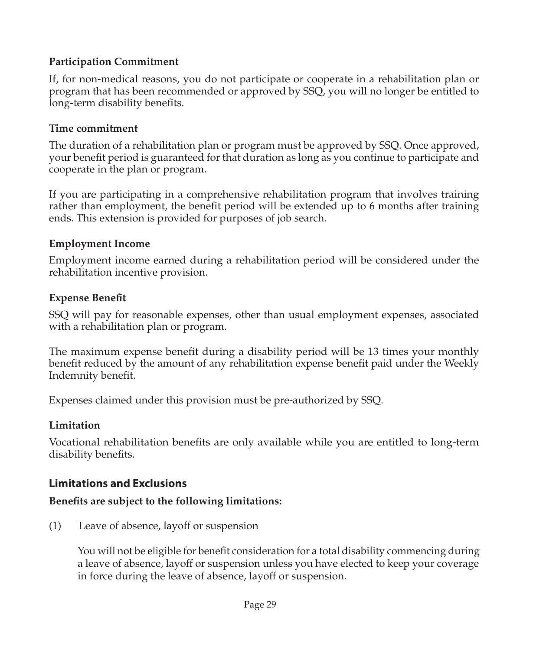#### <span id="page-34-0"></span>**Participation Commitment**

If, for non-medical reasons, you do not participate or cooperate in a rehabilitation plan or program that has been recommended or approved by SSQ, you will no longer be entitled to long-term disability benefits.

#### **Time commitment**

The duration of a rehabilitation plan or program must be approved by SSQ. Once approved, your benefit period is guaranteed for that duration as long as you continue to participate and cooperate in the plan or program.

If you are participating in a comprehensive rehabilitation program that involves training rather than employment, the benefit period will be extended up to 6 months after training ends. This extension is provided for purposes of job search.

#### **Employment Income**

Employment income earned during a rehabilitation period will be considered under the rehabilitation incentive provision.

#### **Expense Benefit**

SSQ will pay for reasonable expenses, other than usual employment expenses, associated with a rehabilitation plan or program.

The maximum expense benefit during a disability period will be 13 times your monthly benefit reduced by the amount of any rehabilitation expense benefit paid under the Weekly Indemnity benefit.

Expenses claimed under this provision must be pre-authorized by SSQ.

#### **Limitation**

Vocational rehabilitation benefits are only available while you are entitled to long-term disability benefits.

#### **Limitations and Exclusions**

#### **Benefits are subject to the following limitations:**

(1) Leave of absence, layoff or suspension

You will not be eligible for benefit consideration for a total disability commencing during a leave of absence, layoff or suspension unless you have elected to keep your coverage in force during the leave of absence, layoff or suspension.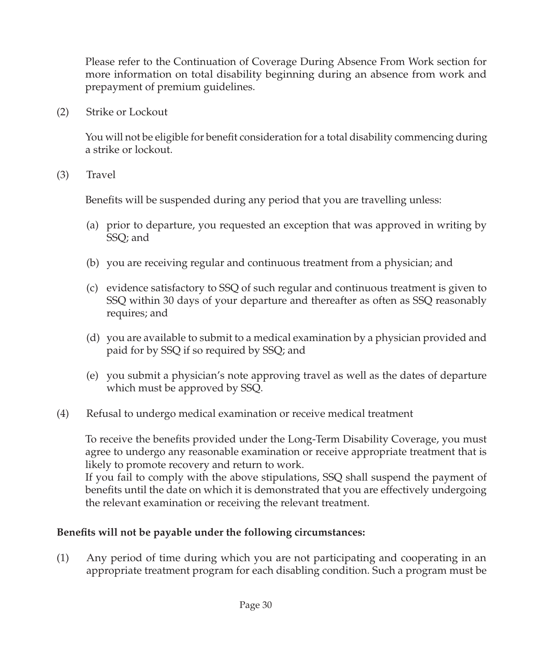Please refer to the Continuation of Coverage During Absence From Work section for more information on total disability beginning during an absence from work and prepayment of premium guidelines.

(2) Strike or Lockout

You will not be eligible for benefit consideration for a total disability commencing during a strike or lockout.

(3) Travel

Benefits will be suspended during any period that you are travelling unless:

- (a) prior to departure, you requested an exception that was approved in writing by SSQ; and
- (b) you are receiving regular and continuous treatment from a physician; and
- (c) evidence satisfactory to SSQ of such regular and continuous treatment is given to SSQ within 30 days of your departure and thereafter as often as SSQ reasonably requires; and
- (d) you are available to submit to a medical examination by a physician provided and paid for by SSQ if so required by SSQ; and
- (e) you submit a physician's note approving travel as well as the dates of departure which must be approved by SSQ.
- (4) Refusal to undergo medical examination or receive medical treatment

To receive the benefits provided under the Long-Term Disability Coverage, you must agree to undergo any reasonable examination or receive appropriate treatment that is likely to promote recovery and return to work.

If you fail to comply with the above stipulations, SSQ shall suspend the payment of benefits until the date on which it is demonstrated that you are effectively undergoing the relevant examination or receiving the relevant treatment.

#### **Benefits will not be payable under the following circumstances:**

(1) Any period of time during which you are not participating and cooperating in an appropriate treatment program for each disabling condition. Such a program must be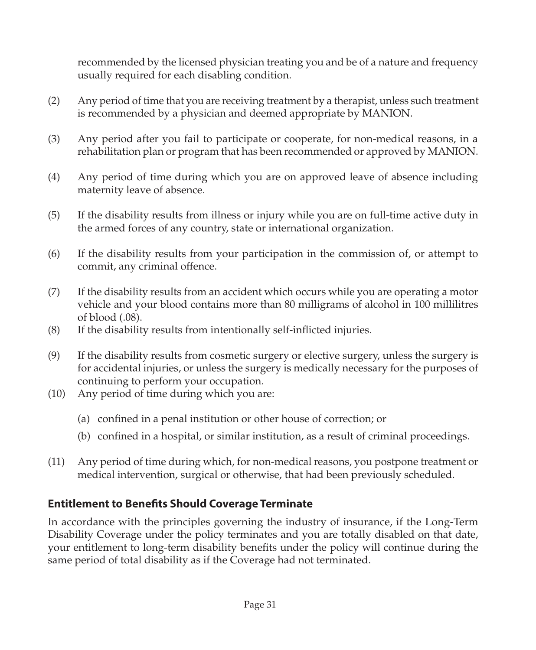<span id="page-36-0"></span>recommended by the licensed physician treating you and be of a nature and frequency usually required for each disabling condition.

- (2) Any period of time that you are receiving treatment by a therapist, unless such treatment is recommended by a physician and deemed appropriate by MANION.
- (3) Any period after you fail to participate or cooperate, for non-medical reasons, in a rehabilitation plan or program that has been recommended or approved by MANION.
- (4) Any period of time during which you are on approved leave of absence including maternity leave of absence.
- (5) If the disability results from illness or injury while you are on full-time active duty in the armed forces of any country, state or international organization.
- (6) If the disability results from your participation in the commission of, or attempt to commit, any criminal offence.
- (7) If the disability results from an accident which occurs while you are operating a motor vehicle and your blood contains more than 80 milligrams of alcohol in 100 millilitres of blood (.08).
- (8) If the disability results from intentionally self-inflicted injuries.
- (9) If the disability results from cosmetic surgery or elective surgery, unless the surgery is for accidental injuries, or unless the surgery is medically necessary for the purposes of continuing to perform your occupation.
- (10) Any period of time during which you are:
	- (a) confined in a penal institution or other house of correction; or
	- (b) confined in a hospital, or similar institution, as a result of criminal proceedings.
- (11) Any period of time during which, for non-medical reasons, you postpone treatment or medical intervention, surgical or otherwise, that had been previously scheduled.

# **Entitlement to Benefits Should Coverage Terminate**

In accordance with the principles governing the industry of insurance, if the Long-Term Disability Coverage under the policy terminates and you are totally disabled on that date, your entitlement to long-term disability benefits under the policy will continue during the same period of total disability as if the Coverage had not terminated.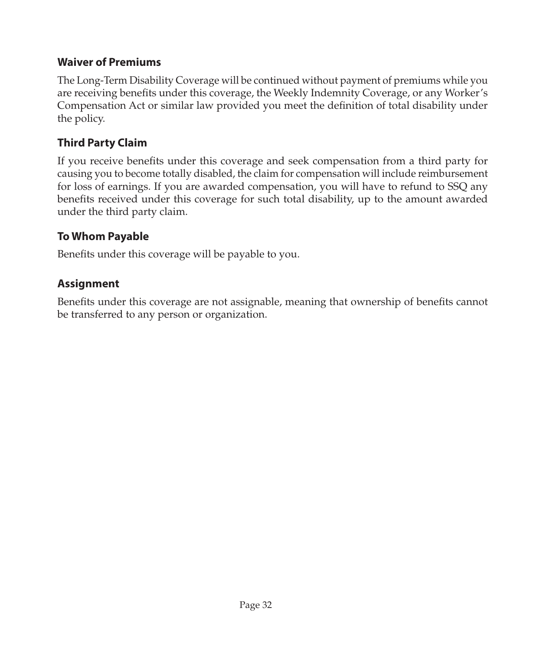### <span id="page-37-0"></span>**Waiver of Premiums**

The Long-Term Disability Coverage will be continued without payment of premiums while you are receiving benefits under this coverage, the Weekly Indemnity Coverage, or any Worker's Compensation Act or similar law provided you meet the definition of total disability under the policy.

# **Third Party Claim**

If you receive benefits under this coverage and seek compensation from a third party for causing you to become totally disabled, the claim for compensation will include reimbursement for loss of earnings. If you are awarded compensation, you will have to refund to SSQ any benefits received under this coverage for such total disability, up to the amount awarded under the third party claim.

### **To Whom Payable**

Benefits under this coverage will be payable to you.

# **Assignment**

Benefits under this coverage are not assignable, meaning that ownership of benefits cannot be transferred to any person or organization.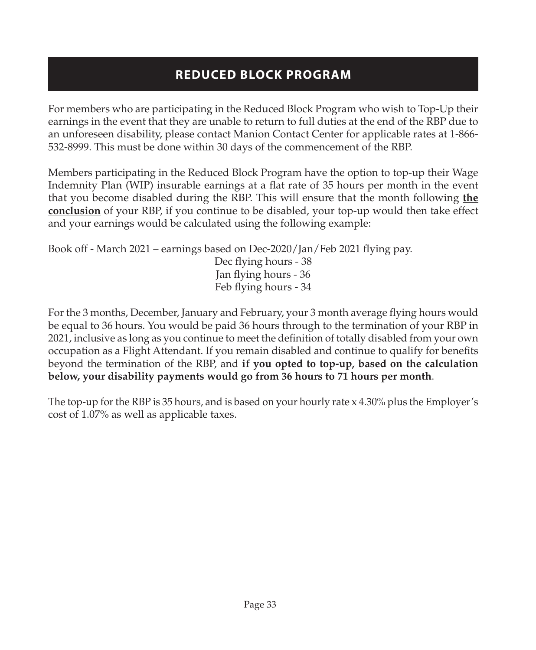# **REDUCED BLOCK PROGRAM**

<span id="page-38-0"></span>For members who are participating in the Reduced Block Program who wish to Top-Up their earnings in the event that they are unable to return to full duties at the end of the RBP due to an unforeseen disability, please contact Manion Contact Center for applicable rates at 1-866- 532-8999. This must be done within 30 days of the commencement of the RBP.

Members participating in the Reduced Block Program have the option to top-up their Wage Indemnity Plan (WIP) insurable earnings at a flat rate of 35 hours per month in the event that you become disabled during the RBP. This will ensure that the month following **the conclusion** of your RBP, if you continue to be disabled, your top-up would then take effect and your earnings would be calculated using the following example:

Book off - March 2021 – earnings based on Dec-2020/Jan/Feb 2021 flying pay. Dec flying hours - 38 Jan flying hours - 36 Feb flying hours - 34

For the 3 months, December, January and February, your 3 month average flying hours would be equal to 36 hours. You would be paid 36 hours through to the termination of your RBP in 2021, inclusive as long as you continue to meet the definition of totally disabled from your own occupation as a Flight Attendant. If you remain disabled and continue to qualify for benefits beyond the termination of the RBP, and **if you opted to top-up, based on the calculation below, your disability payments would go from 36 hours to 71 hours per month**.

The top-up for the RBP is 35 hours, and is based on your hourly rate x 4.30% plus the Employer's cost of 1.07% as well as applicable taxes.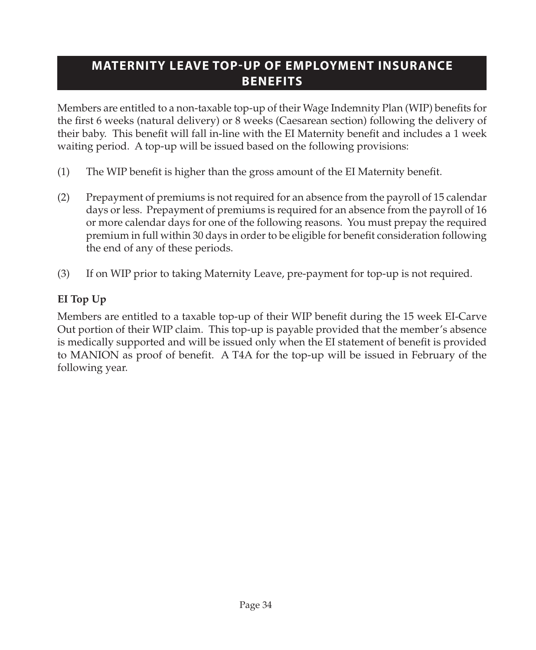# <span id="page-39-0"></span>**MATERNITY LEAVE TOP-UP OF EMPLOYMENT INSURANCE BENEFITS**

Members are entitled to a non-taxable top-up of their Wage Indemnity Plan (WIP) benefits for the first 6 weeks (natural delivery) or 8 weeks (Caesarean section) following the delivery of their baby. This benefit will fall in-line with the EI Maternity benefit and includes a 1 week waiting period. A top-up will be issued based on the following provisions:

- (1) The WIP benefit is higher than the gross amount of the EI Maternity benefit.
- (2) Prepayment of premiums is not required for an absence from the payroll of 15 calendar days or less. Prepayment of premiums is required for an absence from the payroll of 16 or more calendar days for one of the following reasons. You must prepay the required premium in full within 30 days in order to be eligible for benefit consideration following the end of any of these periods.
- (3) If on WIP prior to taking Maternity Leave, pre-payment for top-up is not required.

# **EI Top Up**

Members are entitled to a taxable top-up of their WIP benefit during the 15 week EI-Carve Out portion of their WIP claim. This top-up is payable provided that the member's absence is medically supported and will be issued only when the EI statement of benefit is provided to MANION as proof of benefit. A T4A for the top-up will be issued in February of the following year.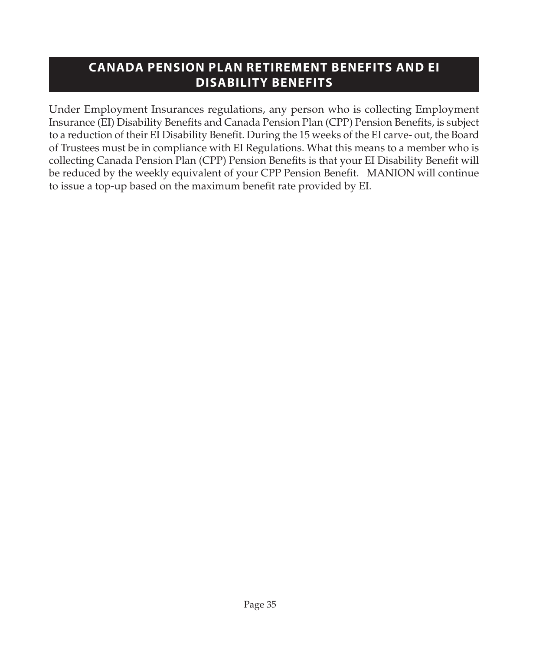# <span id="page-40-0"></span>**CANADA PENSION PLAN RETIREMENT BENEFITS AND EI DISABILITY BENEFITS**

Under Employment Insurances regulations, any person who is collecting Employment Insurance (EI) Disability Benefits and Canada Pension Plan (CPP) Pension Benefits, is subject to a reduction of their EI Disability Benefit. During the 15 weeks of the EI carve- out, the Board of Trustees must be in compliance with EI Regulations. What this means to a member who is collecting Canada Pension Plan (CPP) Pension Benefits is that your EI Disability Benefit will be reduced by the weekly equivalent of your CPP Pension Benefit. MANION will continue to issue a top-up based on the maximum benefit rate provided by EI.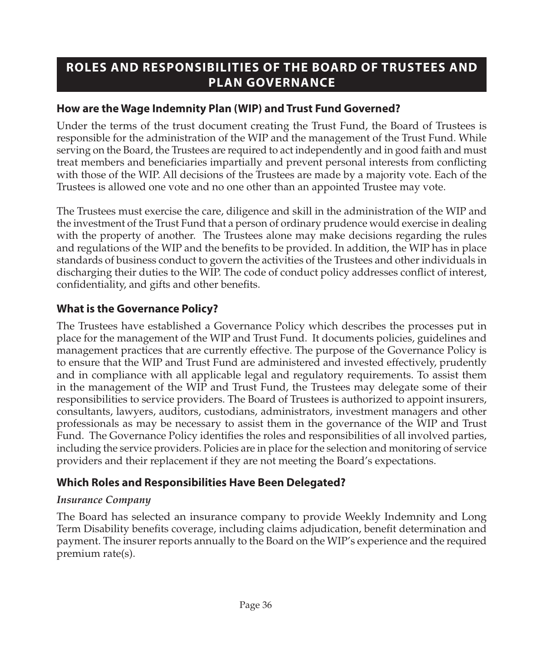# <span id="page-41-0"></span>**ROLES AND RESPONSIBILITIES OF THE BOARD OF TRUSTEES AND PLAN GOVERNANCE**

### **How are the Wage Indemnity Plan (WIP) and Trust Fund Governed?**

Under the terms of the trust document creating the Trust Fund, the Board of Trustees is responsible for the administration of the WIP and the management of the Trust Fund. While serving on the Board, the Trustees are required to act independently and in good faith and must treat members and beneficiaries impartially and prevent personal interests from conflicting with those of the WIP. All decisions of the Trustees are made by a majority vote. Each of the Trustees is allowed one vote and no one other than an appointed Trustee may vote.

The Trustees must exercise the care, diligence and skill in the administration of the WIP and the investment of the Trust Fund that a person of ordinary prudence would exercise in dealing with the property of another. The Trustees alone may make decisions regarding the rules and regulations of the WIP and the benefits to be provided. In addition, the WIP has in place standards of business conduct to govern the activities of the Trustees and other individuals in discharging their duties to the WIP. The code of conduct policy addresses conflict of interest, confidentiality, and gifts and other benefits.

# **What is the Governance Policy?**

The Trustees have established a Governance Policy which describes the processes put in place for the management of the WIP and Trust Fund. It documents policies, guidelines and management practices that are currently effective. The purpose of the Governance Policy is to ensure that the WIP and Trust Fund are administered and invested effectively, prudently and in compliance with all applicable legal and regulatory requirements. To assist them in the management of the WIP and Trust Fund, the Trustees may delegate some of their responsibilities to service providers. The Board of Trustees is authorized to appoint insurers, consultants, lawyers, auditors, custodians, administrators, investment managers and other professionals as may be necessary to assist them in the governance of the WIP and Trust Fund. The Governance Policy identifies the roles and responsibilities of all involved parties, including the service providers. Policies are in place for the selection and monitoring of service providers and their replacement if they are not meeting the Board's expectations.

# **Which Roles and Responsibilities Have Been Delegated?**

#### *Insurance Company*

The Board has selected an insurance company to provide Weekly Indemnity and Long Term Disability benefits coverage, including claims adjudication, benefit determination and payment. The insurer reports annually to the Board on the WIP's experience and the required premium rate(s).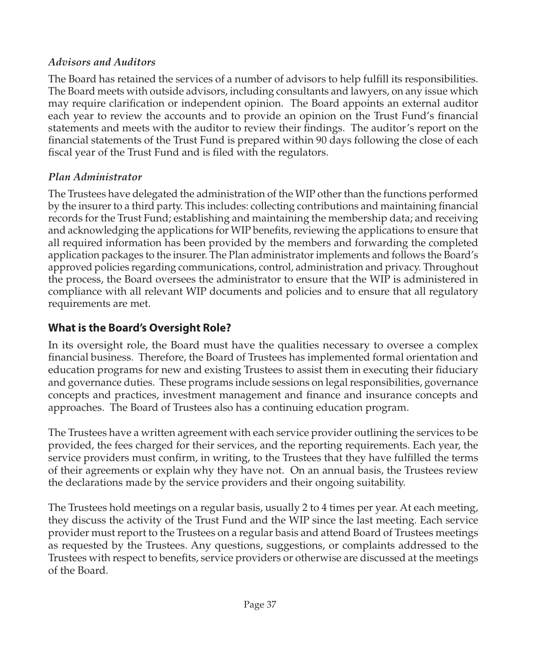#### <span id="page-42-0"></span>*Advisors and Auditors*

The Board has retained the services of a number of advisors to help fulfill its responsibilities. The Board meets with outside advisors, including consultants and lawyers, on any issue which may require clarification or independent opinion. The Board appoints an external auditor each year to review the accounts and to provide an opinion on the Trust Fund's financial statements and meets with the auditor to review their findings. The auditor's report on the financial statements of the Trust Fund is prepared within 90 days following the close of each fiscal year of the Trust Fund and is filed with the regulators.

#### *Plan Administrator*

The Trustees have delegated the administration of the WIP other than the functions performed by the insurer to a third party. This includes: collecting contributions and maintaining financial records for the Trust Fund; establishing and maintaining the membership data; and receiving and acknowledging the applications for WIP benefits, reviewing the applications to ensure that all required information has been provided by the members and forwarding the completed application packages to the insurer. The Plan administrator implements and follows the Board's approved policies regarding communications, control, administration and privacy. Throughout the process, the Board oversees the administrator to ensure that the WIP is administered in compliance with all relevant WIP documents and policies and to ensure that all regulatory requirements are met.

# **What is the Board's Oversight Role?**

In its oversight role, the Board must have the qualities necessary to oversee a complex financial business. Therefore, the Board of Trustees has implemented formal orientation and education programs for new and existing Trustees to assist them in executing their fiduciary and governance duties. These programs include sessions on legal responsibilities, governance concepts and practices, investment management and finance and insurance concepts and approaches. The Board of Trustees also has a continuing education program.

The Trustees have a written agreement with each service provider outlining the services to be provided, the fees charged for their services, and the reporting requirements. Each year, the service providers must confirm, in writing, to the Trustees that they have fulfilled the terms of their agreements or explain why they have not. On an annual basis, the Trustees review the declarations made by the service providers and their ongoing suitability.

The Trustees hold meetings on a regular basis, usually 2 to 4 times per year. At each meeting, they discuss the activity of the Trust Fund and the WIP since the last meeting. Each service provider must report to the Trustees on a regular basis and attend Board of Trustees meetings as requested by the Trustees. Any questions, suggestions, or complaints addressed to the Trustees with respect to benefits, service providers or otherwise are discussed at the meetings of the Board.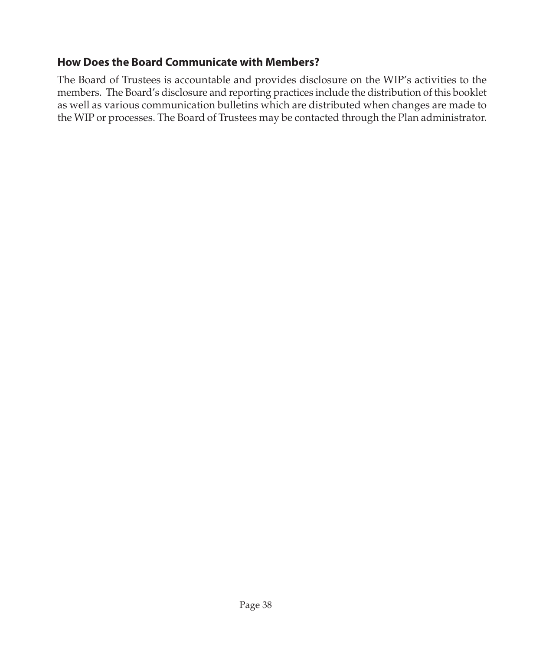# <span id="page-43-0"></span>**How Does the Board Communicate with Members?**

The Board of Trustees is accountable and provides disclosure on the WIP's activities to the members. The Board's disclosure and reporting practices include the distribution of this booklet as well as various communication bulletins which are distributed when changes are made to the WIP or processes. The Board of Trustees may be contacted through the Plan administrator.